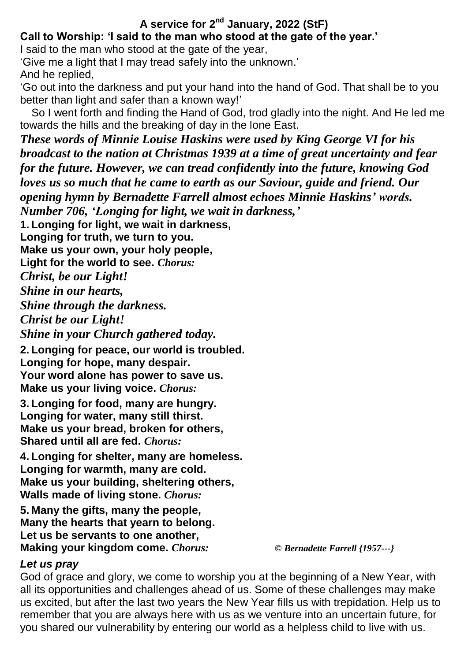## **A service for 2 nd January, 2022 (StF)**

# **Call to Worship: 'I said to the man who stood at the gate of the year.'**

I said to the man who stood at the gate of the year,

'Give me a light that I may tread safely into the unknown.'

And he replied,

'Go out into the darkness and put your hand into the hand of God. That shall be to you better than light and safer than a known way!'

So I went forth and finding the Hand of God, trod gladly into the night. And He led me towards the hills and the breaking of day in the lone East.

*These words of Minnie Louise Haskins were used by King George VI for his broadcast to the nation at Christmas 1939 at a time of great uncertainty and fear for the future. However, we can tread confidently into the future, knowing God loves us so much that he came to earth as our Saviour, guide and friend. Our opening hymn by Bernadette Farrell almost echoes Minnie Haskins' words. Number 706, 'Longing for light, we wait in darkness,'*

**1. Longing for light, we wait in darkness,**

**Longing for truth, we turn to you.**

**Make us your own, your holy people,**

**Light for the world to see.** *Chorus:*

*Christ, be our Light!*

*Shine in our hearts,*

*Shine through the darkness.*

*Christ be our Light!*

*Shine in your Church gathered today.*

**2. Longing for peace, our world is troubled. Longing for hope, many despair. Your word alone has power to save us. Make us your living voice.** *Chorus:*

**3. Longing for food, many are hungry. Longing for water, many still thirst. Make us your bread, broken for others, Shared until all are fed.** *Chorus:*

**4. Longing for shelter, many are homeless. Longing for warmth, many are cold. Make us your building, sheltering others, Walls made of living stone.** *Chorus:*

**5. Many the gifts, many the people, Many the hearts that yearn to belong. Let us be servants to one another, Making your kingdom come.** *Chorus: © Bernadette Farrell {1957---}*

### *Let us pray*

God of grace and glory, we come to worship you at the beginning of a New Year, with all its opportunities and challenges ahead of us. Some of these challenges may make us excited, but after the last two years the New Year fills us with trepidation. Help us to remember that you are always here with us as we venture into an uncertain future, for you shared our vulnerability by entering our world as a helpless child to live with us.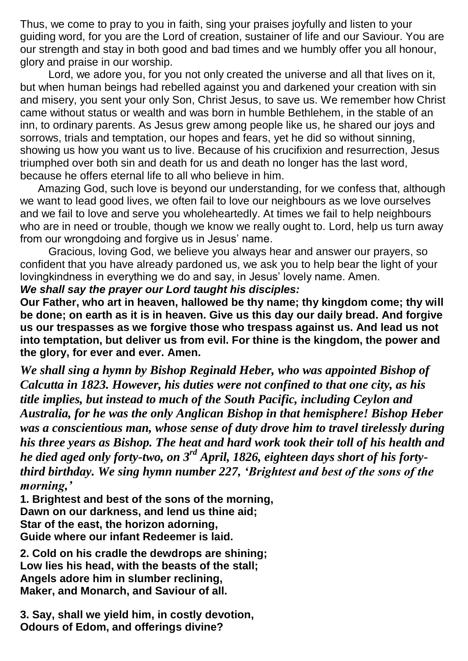Thus, we come to pray to you in faith, sing your praises joyfully and listen to your guiding word, for you are the Lord of creation, sustainer of life and our Saviour. You are our strength and stay in both good and bad times and we humbly offer you all honour, glory and praise in our worship.

Lord, we adore you, for you not only created the universe and all that lives on it, but when human beings had rebelled against you and darkened your creation with sin and misery, you sent your only Son, Christ Jesus, to save us. We remember how Christ came without status or wealth and was born in humble Bethlehem, in the stable of an inn, to ordinary parents. As Jesus grew among people like us, he shared our joys and sorrows, trials and temptation, our hopes and fears, yet he did so without sinning, showing us how you want us to live. Because of his crucifixion and resurrection, Jesus triumphed over both sin and death for us and death no longer has the last word, because he offers eternal life to all who believe in him.

Amazing God, such love is beyond our understanding, for we confess that, although we want to lead good lives, we often fail to love our neighbours as we love ourselves and we fail to love and serve you wholeheartedly. At times we fail to help neighbours who are in need or trouble, though we know we really ought to. Lord, help us turn away from our wrongdoing and forgive us in Jesus' name.

Gracious, loving God, we believe you always hear and answer our prayers, so confident that you have already pardoned us, we ask you to help bear the light of your lovingkindness in everything we do and say, in Jesus' lovely name. Amen.

*We shall say the prayer our Lord taught his disciples:*

**Our Father, who art in heaven, hallowed be thy name; thy kingdom come; thy will be done; on earth as it is in heaven. Give us this day our daily bread. And forgive us our trespasses as we forgive those who trespass against us. And lead us not into temptation, but deliver us from evil. For thine is the kingdom, the power and the glory, for ever and ever. Amen.**

*We shall sing a hymn by Bishop Reginald Heber, who was appointed Bishop of Calcutta in 1823. However, his duties were not confined to that one city, as his title implies, but instead to much of the South Pacific, including Ceylon and Australia, for he was the only Anglican Bishop in that hemisphere! Bishop Heber was a conscientious man, whose sense of duty drove him to travel tirelessly during his three years as Bishop. The heat and hard work took their toll of his health and he died aged only forty-two, on 3rd April, 1826, eighteen days short of his fortythird birthday. We sing hymn number 227, 'Brightest and best of the sons of the morning,'* 

**1. Brightest and best of the sons of the morning, Dawn on our darkness, and lend us thine aid; Star of the east, the horizon adorning, Guide where our infant Redeemer is laid.**

**2. Cold on his cradle the dewdrops are shining; Low lies his head, with the beasts of the stall; Angels adore him in slumber reclining, Maker, and Monarch, and Saviour of all.**

**3. Say, shall we yield him, in costly devotion, Odours of Edom, and offerings divine?**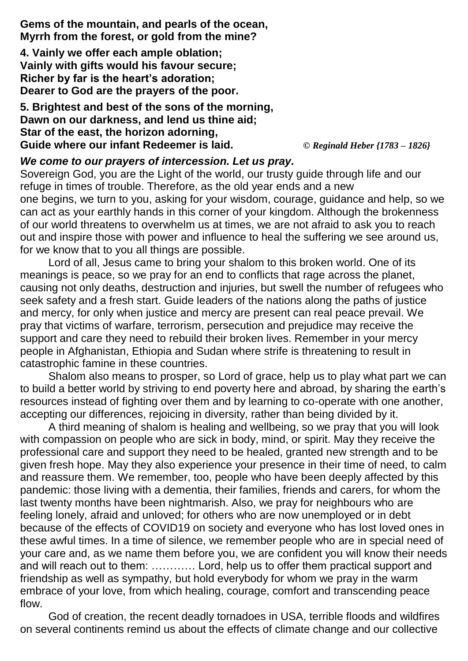**Gems of the mountain, and pearls of the ocean, Myrrh from the forest, or gold from the mine?**

**4. Vainly we offer each ample oblation; Vainly with gifts would his favour secure; Richer by far is the heart's adoration; Dearer to God are the prayers of the poor.**

**5. Brightest and best of the sons of the morning, Dawn on our darkness, and lend us thine aid; Star of the east, the horizon adorning, Guide where our infant Redeemer is laid.** *© Reginald Heber {1783 – 1826}*

#### *We come to our prayers of intercession. Let us pray.*

Sovereign God, you are the Light of the world, our trusty guide through life and our refuge in times of trouble. Therefore, as the old year ends and a new one begins, we turn to you, asking for your wisdom, courage, guidance and help, so we can act as your earthly hands in this corner of your kingdom. Although the brokenness of our world threatens to overwhelm us at times, we are not afraid to ask you to reach out and inspire those with power and influence to heal the suffering we see around us, for we know that to you all things are possible.

Lord of all, Jesus came to bring your shalom to this broken world. One of its meanings is peace, so we pray for an end to conflicts that rage across the planet, causing not only deaths, destruction and injuries, but swell the number of refugees who seek safety and a fresh start. Guide leaders of the nations along the paths of justice and mercy, for only when justice and mercy are present can real peace prevail. We pray that victims of warfare, terrorism, persecution and prejudice may receive the support and care they need to rebuild their broken lives. Remember in your mercy people in Afghanistan, Ethiopia and Sudan where strife is threatening to result in catastrophic famine in these countries.

Shalom also means to prosper, so Lord of grace, help us to play what part we can to build a better world by striving to end poverty here and abroad, by sharing the earth's resources instead of fighting over them and by learning to co-operate with one another, accepting our differences, rejoicing in diversity, rather than being divided by it.

A third meaning of shalom is healing and wellbeing, so we pray that you will look with compassion on people who are sick in body, mind, or spirit. May they receive the professional care and support they need to be healed, granted new strength and to be given fresh hope. May they also experience your presence in their time of need, to calm and reassure them. We remember, too, people who have been deeply affected by this pandemic: those living with a dementia, their families, friends and carers, for whom the last twenty months have been nightmarish. Also, we pray for neighbours who are feeling lonely, afraid and unloved; for others who are now unemployed or in debt because of the effects of COVID19 on society and everyone who has lost loved ones in these awful times. In a time of silence, we remember people who are in special need of your care and, as we name them before you, we are confident you will know their needs and will reach out to them: ………… Lord, help us to offer them practical support and friendship as well as sympathy, but hold everybody for whom we pray in the warm embrace of your love, from which healing, courage, comfort and transcending peace flow.

God of creation, the recent deadly tornadoes in USA, terrible floods and wildfires on several continents remind us about the effects of climate change and our collective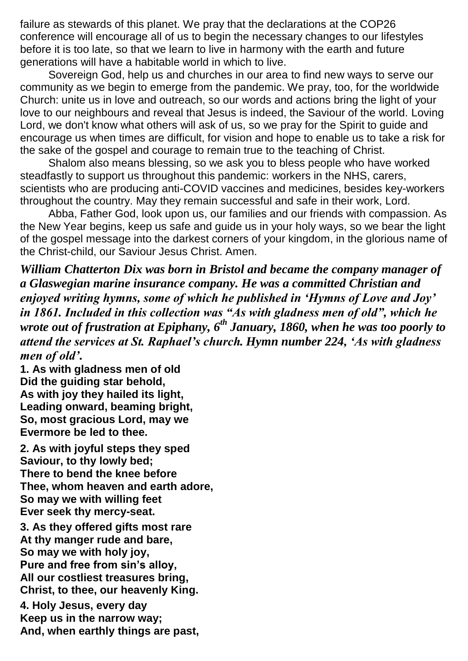failure as stewards of this planet. We pray that the declarations at the COP26 conference will encourage all of us to begin the necessary changes to our lifestyles before it is too late, so that we learn to live in harmony with the earth and future generations will have a habitable world in which to live.

Sovereign God, help us and churches in our area to find new ways to serve our community as we begin to emerge from the pandemic. We pray, too, for the worldwide Church: unite us in love and outreach, so our words and actions bring the light of your love to our neighbours and reveal that Jesus is indeed, the Saviour of the world. Loving Lord, we don't know what others will ask of us, so we pray for the Spirit to guide and encourage us when times are difficult, for vision and hope to enable us to take a risk for the sake of the gospel and courage to remain true to the teaching of Christ.

Shalom also means blessing, so we ask you to bless people who have worked steadfastly to support us throughout this pandemic: workers in the NHS, carers, scientists who are producing anti-COVID vaccines and medicines, besides key-workers throughout the country. May they remain successful and safe in their work, Lord.

Abba, Father God, look upon us, our families and our friends with compassion. As the New Year begins, keep us safe and guide us in your holy ways, so we bear the light of the gospel message into the darkest corners of your kingdom, in the glorious name of the Christ-child, our Saviour Jesus Christ. Amen.

*William Chatterton Dix was born in Bristol and became the company manager of a Glaswegian marine insurance company. He was a committed Christian and enjoyed writing hymns, some of which he published in 'Hymns of Love and Joy' in 1861. Included in this collection was "As with gladness men of old", which he wrote out of frustration at Epiphany, 6th January, 1860, when he was too poorly to attend the services at St. Raphael's church. Hymn number 224, 'As with gladness men of old'.*

**1. As with gladness men of old Did the guiding star behold, As with joy they hailed its light, Leading onward, beaming bright, So, most gracious Lord, may we Evermore be led to thee.**

**2. As with joyful steps they sped Saviour, to thy lowly bed; There to bend the knee before Thee, whom heaven and earth adore, So may we with willing feet Ever seek thy mercy-seat.**

**3. As they offered gifts most rare At thy manger rude and bare, So may we with holy joy, Pure and free from sin's alloy, All our costliest treasures bring, Christ, to thee, our heavenly King.**

**4. Holy Jesus, every day Keep us in the narrow way; And, when earthly things are past,**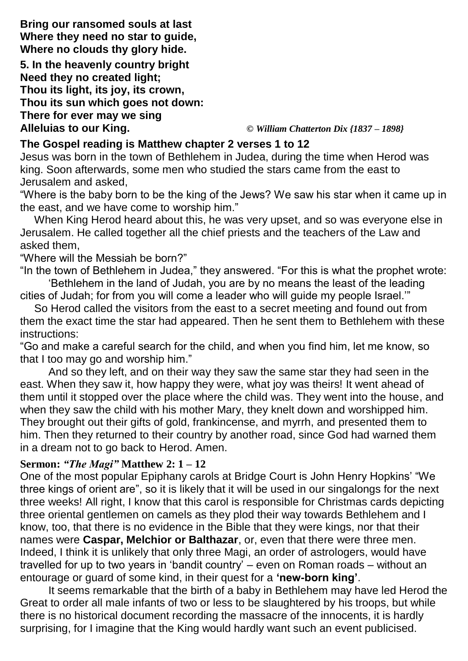**Bring our ransomed souls at last Where they need no star to guide, Where no clouds thy glory hide.**

**5. In the heavenly country bright Need they no created light; Thou its light, its joy, its crown, Thou its sun which goes not down: There for ever may we sing Alleluias to our King.** *© William Chatterton Dix {1837 – 1898}*

### **The Gospel reading is Matthew chapter 2 verses 1 to 12**

Jesus was born in the town of Bethlehem in Judea, during the time when Herod was king. Soon afterwards, some men who studied the stars came from the east to Jerusalem and asked,

"Where is the baby born to be the king of the Jews? We saw his star when it came up in the east, and we have come to worship him."

When King Herod heard about this, he was very upset, and so was everyone else in Jerusalem. He called together all the chief priests and the teachers of the Law and asked them,

"Where will the Messiah be born?"

"In the town of Bethlehem in Judea," they answered. "For this is what the prophet wrote: 'Bethlehem in the land of Judah, you are by no means the least of the leading

cities of Judah; for from you will come a leader who will guide my people Israel.'" So Herod called the visitors from the east to a secret meeting and found out from them the exact time the star had appeared. Then he sent them to Bethlehem with these instructions:

"Go and make a careful search for the child, and when you find him, let me know, so that I too may go and worship him."

And so they left, and on their way they saw the same star they had seen in the east. When they saw it, how happy they were, what joy was theirs! It went ahead of them until it stopped over the place where the child was. They went into the house, and when they saw the child with his mother Mary, they knelt down and worshipped him. They brought out their gifts of gold, frankincense, and myrrh, and presented them to him. Then they returned to their country by another road, since God had warned them in a dream not to go back to Herod. Amen.

#### **Sermon:** *"The Magi"* **Matthew 2: 1 – 12**

One of the most popular Epiphany carols at Bridge Court is John Henry Hopkins' "We three kings of orient are", so it is likely that it will be used in our singalongs for the next three weeks! All right, I know that this carol is responsible for Christmas cards depicting three oriental gentlemen on camels as they plod their way towards Bethlehem and I know, too, that there is no evidence in the Bible that they were kings, nor that their names were **Caspar, Melchior or Balthazar**, or, even that there were three men. Indeed, I think it is unlikely that only three Magi, an order of astrologers, would have travelled for up to two years in 'bandit country' – even on Roman roads – without an entourage or guard of some kind, in their quest for a **'new-born king'**.

It seems remarkable that the birth of a baby in Bethlehem may have led Herod the Great to order all male infants of two or less to be slaughtered by his troops, but while there is no historical document recording the massacre of the innocents, it is hardly surprising, for I imagine that the King would hardly want such an event publicised.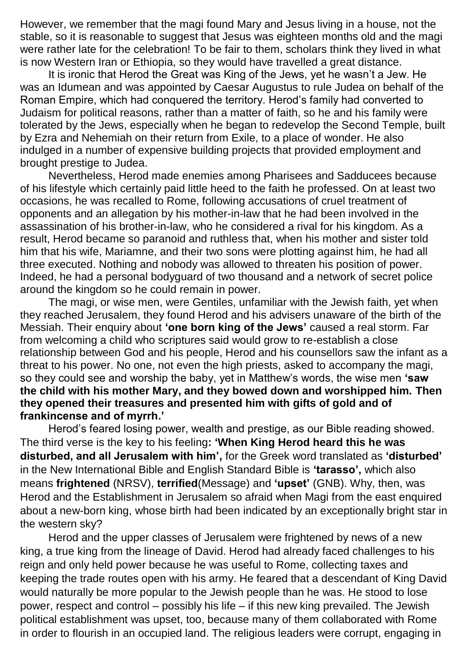However, we remember that the magi found Mary and Jesus living in a house, not the stable, so it is reasonable to suggest that Jesus was eighteen months old and the magi were rather late for the celebration! To be fair to them, scholars think they lived in what is now Western Iran or Ethiopia, so they would have travelled a great distance.

It is ironic that Herod the Great was King of the Jews, yet he wasn't a Jew. He was an Idumean and was appointed by Caesar Augustus to rule Judea on behalf of the Roman Empire, which had conquered the territory. Herod's family had converted to Judaism for political reasons, rather than a matter of faith, so he and his family were tolerated by the Jews, especially when he began to redevelop the Second Temple, built by Ezra and Nehemiah on their return from Exile, to a place of wonder. He also indulged in a number of expensive building projects that provided employment and brought prestige to Judea.

Nevertheless, Herod made enemies among Pharisees and Sadducees because of his lifestyle which certainly paid little heed to the faith he professed. On at least two occasions, he was recalled to Rome, following accusations of cruel treatment of opponents and an allegation by his mother-in-law that he had been involved in the assassination of his brother-in-law, who he considered a rival for his kingdom. As a result, Herod became so paranoid and ruthless that, when his mother and sister told him that his wife, Mariamne, and their two sons were plotting against him, he had all three executed. Nothing and nobody was allowed to threaten his position of power. Indeed, he had a personal bodyguard of two thousand and a network of secret police around the kingdom so he could remain in power.

The magi, or wise men, were Gentiles, unfamiliar with the Jewish faith, yet when they reached Jerusalem, they found Herod and his advisers unaware of the birth of the Messiah. Their enquiry about **'one born king of the Jews'** caused a real storm. Far from welcoming a child who scriptures said would grow to re-establish a close relationship between God and his people, Herod and his counsellors saw the infant as a threat to his power. No one, not even the high priests, asked to accompany the magi, so they could see and worship the baby, yet in Matthew's words, the wise men **'saw the child with his mother Mary, and they bowed down and worshipped him. Then they opened their treasures and presented him with gifts of gold and of frankincense and of myrrh.'**

Herod's feared losing power, wealth and prestige, as our Bible reading showed. The third verse is the key to his feeling**: 'When King Herod heard this he was disturbed, and all Jerusalem with him',** for the Greek word translated as **'disturbed'** in the New International Bible and English Standard Bible is **'tarasso',** which also means **frightened** (NRSV), **terrified**(Message) and **'upset'** (GNB). Why, then, was Herod and the Establishment in Jerusalem so afraid when Magi from the east enquired about a new-born king, whose birth had been indicated by an exceptionally bright star in the western sky?

Herod and the upper classes of Jerusalem were frightened by news of a new king, a true king from the lineage of David. Herod had already faced challenges to his reign and only held power because he was useful to Rome, collecting taxes and keeping the trade routes open with his army. He feared that a descendant of King David would naturally be more popular to the Jewish people than he was. He stood to lose power, respect and control – possibly his life – if this new king prevailed. The Jewish political establishment was upset, too, because many of them collaborated with Rome in order to flourish in an occupied land. The religious leaders were corrupt, engaging in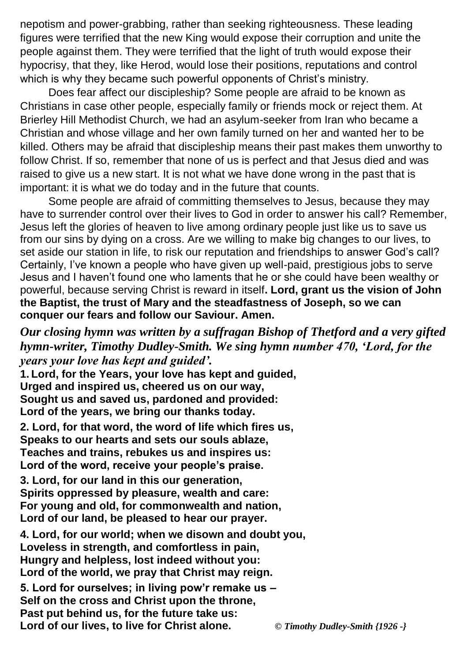nepotism and power-grabbing, rather than seeking righteousness. These leading figures were terrified that the new King would expose their corruption and unite the people against them. They were terrified that the light of truth would expose their hypocrisy, that they, like Herod, would lose their positions, reputations and control which is why they became such powerful opponents of Christ's ministry.

Does fear affect our discipleship? Some people are afraid to be known as Christians in case other people, especially family or friends mock or reject them. At Brierley Hill Methodist Church, we had an asylum-seeker from Iran who became a Christian and whose village and her own family turned on her and wanted her to be killed. Others may be afraid that discipleship means their past makes them unworthy to follow Christ. If so, remember that none of us is perfect and that Jesus died and was raised to give us a new start. It is not what we have done wrong in the past that is important: it is what we do today and in the future that counts.

Some people are afraid of committing themselves to Jesus, because they may have to surrender control over their lives to God in order to answer his call? Remember, Jesus left the glories of heaven to live among ordinary people just like us to save us from our sins by dying on a cross. Are we willing to make big changes to our lives, to set aside our station in life, to risk our reputation and friendships to answer God's call? Certainly, I've known a people who have given up well-paid, prestigious jobs to serve Jesus and I haven't found one who laments that he or she could have been wealthy or powerful, because serving Christ is reward in itself**. Lord, grant us the vision of John the Baptist, the trust of Mary and the steadfastness of Joseph, so we can conquer our fears and follow our Saviour. Amen.**

*Our closing hymn was written by a suffragan Bishop of Thetford and a very gifted hymn-writer, Timothy Dudley-Smith. We sing hymn number 470, 'Lord, for the years your love has kept and guided'.*

**1. Lord, for the Years, your love has kept and guided, Urged and inspired us, cheered us on our way, Sought us and saved us, pardoned and provided: Lord of the years, we bring our thanks today.**

**2. Lord, for that word, the word of life which fires us, Speaks to our hearts and sets our souls ablaze, Teaches and trains, rebukes us and inspires us: Lord of the word, receive your people's praise.**

**3. Lord, for our land in this our generation, Spirits oppressed by pleasure, wealth and care: For young and old, for commonwealth and nation, Lord of our land, be pleased to hear our prayer.**

**4. Lord, for our world; when we disown and doubt you, Loveless in strength, and comfortless in pain, Hungry and helpless, lost indeed without you: Lord of the world, we pray that Christ may reign.**

**5. Lord for ourselves; in living pow'r remake us – Self on the cross and Christ upon the throne, Past put behind us, for the future take us: Lord of our lives, to live for Christ alone.** *© Timothy Dudley-Smith {1926 -}*